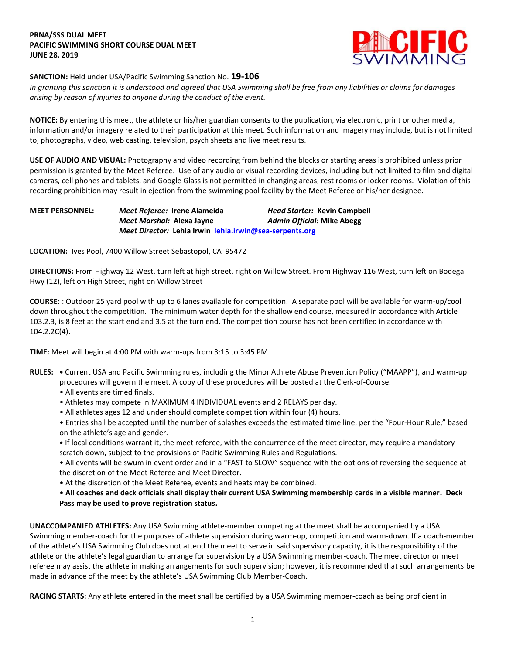## **PRNA/SSS DUAL MEET PACIFIC SWIMMING SHORT COURSE DUAL MEET JUNE 28, 2019**



# **SANCTION:** Held under USA/Pacific Swimming Sanction No. **19-106**

*In granting this sanction it is understood and agreed that USA Swimming shall be free from any liabilities or claims for damages arising by reason of injuries to anyone during the conduct of the event.* 

**NOTICE:** By entering this meet, the athlete or his/her guardian consents to the publication, via electronic, print or other media, information and/or imagery related to their participation at this meet. Such information and imagery may include, but is not limited to, photographs, video, web casting, television, psych sheets and live meet results.

**USE OF AUDIO AND VISUAL:** Photography and video recording from behind the blocks or starting areas is prohibited unless prior permission is granted by the Meet Referee. Use of any audio or visual recording devices, including but not limited to film and digital cameras, cell phones and tablets, and Google Glass is not permitted in changing areas, rest rooms or locker rooms. Violation of this recording prohibition may result in ejection from the swimming pool facility by the Meet Referee or his/her designee.

**MEET PERSONNEL:** *Meet Referee:* **Irene Alameida** *Head Starter:* **Kevin Campbell** *Meet Marshal:* **Alexa Jayne** *Admin Official:* **Mike Abegg** *Meet Director:* **Lehla Irwin [lehla.irwin@sea-serpents.org](mailto:lehla.irwin@sea-serpents.org)**

**LOCATION:** Ives Pool, 7400 Willow Street Sebastopol, CA 95472

**DIRECTIONS:** From Highway 12 West, turn left at high street, right on Willow Street. From Highway 116 West, turn left on Bodega Hwy (12), left on High Street, right on Willow Street

**COURSE:** : Outdoor 25 yard pool with up to 6 lanes available for competition. A separate pool will be available for warm-up/cool down throughout the competition. The minimum water depth for the shallow end course, measured in accordance with Article 103.2.3, is 8 feet at the start end and 3.5 at the turn end. The competition course has not been certified in accordance with 104.2.2C(4).

**TIME:** Meet will begin at 4:00 PM with warm-ups from 3:15 to 3:45 PM.

- **RULES: •** Current USA and Pacific Swimming rules, including the Minor Athlete Abuse Prevention Policy ("MAAPP"), and warm-up procedures will govern the meet. A copy of these procedures will be posted at the Clerk-of-Course.
	- All events are timed finals.
	- Athletes may compete in MAXIMUM 4 INDIVIDUAL events and 2 RELAYS per day.
	- All athletes ages 12 and under should complete competition within four (4) hours.
	- Entries shall be accepted until the number of splashes exceeds the estimated time line, per the "Four-Hour Rule," based on the athlete's age and gender.
	- **•** If local conditions warrant it, the meet referee, with the concurrence of the meet director, may require a mandatory scratch down, subject to the provisions of Pacific Swimming Rules and Regulations.
	- All events will be swum in event order and in a "FAST to SLOW" sequence with the options of reversing the sequence at the discretion of the Meet Referee and Meet Director.
	- At the discretion of the Meet Referee, events and heats may be combined.
	- **All coaches and deck officials shall display their current USA Swimming membership cards in a visible manner. Deck Pass may be used to prove registration status.**

**UNACCOMPANIED ATHLETES:** Any USA Swimming athlete-member competing at the meet shall be accompanied by a USA Swimming member-coach for the purposes of athlete supervision during warm-up, competition and warm-down. If a coach-member of the athlete's USA Swimming Club does not attend the meet to serve in said supervisory capacity, it is the responsibility of the athlete or the athlete's legal guardian to arrange for supervision by a USA Swimming member-coach. The meet director or meet referee may assist the athlete in making arrangements for such supervision; however, it is recommended that such arrangements be made in advance of the meet by the athlete's USA Swimming Club Member-Coach.

**RACING STARTS:** Any athlete entered in the meet shall be certified by a USA Swimming member-coach as being proficient in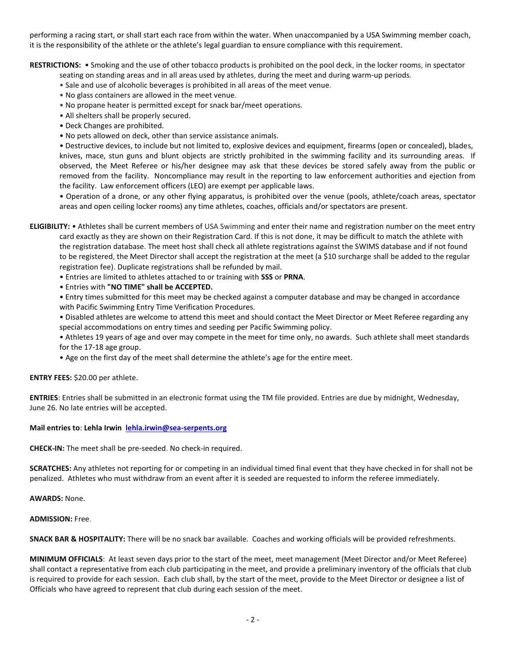performing a racing start, or shall start each race from within the water. When unaccompanied by a USA Swimming member coach, it is the responsibility of the athlete or the athlete's legal guardian to ensure compliance with this requirement.

**RESTRICTIONS:** • Smoking and the use of other tobacco products is prohibited on the pool deck, in the locker rooms, in spectator

seating on standing areas and in all areas used by athletes, during the meet and during warm-up periods.

- Sale and use of alcoholic beverages is prohibited in all areas of the meet venue.
- No glass containers are allowed in the meet venue.
- No propane heater is permitted except for snack bar/meet operations.
- All shelters shall be properly secured.
- Deck Changes are prohibited.
- No pets allowed on deck, other than service assistance animals.

• Destructive devices, to include but not limited to, explosive devices and equipment, firearms (open or concealed), blades, knives, mace, stun guns and blunt objects are strictly prohibited in the swimming facility and its surrounding areas. If observed, the Meet Referee or his/her designee may ask that these devices be stored safely away from the public or removed from the facility. Noncompliance may result in the reporting to law enforcement authorities and ejection from the facility. Law enforcement officers (LEO) are exempt per applicable laws.

• Operation of a drone, or any other flying apparatus, is prohibited over the venue (pools, athlete/coach areas, spectator areas and open ceiling locker rooms) any time athletes, coaches, officials and/or spectators are present.

**ELIGIBILITY:** • Athletes shall be current members of USA Swimming and enter their name and registration number on the meet entry card exactly as they are shown on their Registration Card. If this is not done, it may be difficult to match the athlete with the registration database. The meet host shall check all athlete registrations against the SWIMS database and if not found to be registered, the Meet Director shall accept the registration at the meet (a \$10 surcharge shall be added to the regular registration fee). Duplicate registrations shall be refunded by mail.

• Entries are limited to athletes attached to or training with **SSS** or **PRNA**.

• Entries with **"NO TIME" shall be ACCEPTED.**

• Entry times submitted for this meet may be checked against a computer database and may be changed in accordance with Pacific Swimming Entry Time Verification Procedures.

• Disabled athletes are welcome to attend this meet and should contact the Meet Director or Meet Referee regarding any special accommodations on entry times and seeding per Pacific Swimming policy.

• Athletes 19 years of age and over may compete in the meet for time only, no awards. Such athlete shall meet standards for the 17-18 age group.

• Age on the first day of the meet shall determine the athlete's age for the entire meet.

#### **ENTRY FEES:** \$20.00 per athlete.

**ENTRIES**: Entries shall be submitted in an electronic format using the TM file provided. Entries are due by midnight, Wednesday, June 26. No late entries will be accepted.

#### **Mail entries to**: **Lehla Irwin [lehla.irwin@sea-serpents.org](mailto:lehla.irwin@sea-serpents.org)**

**CHECK-IN:** The meet shall be pre-seeded. No check-in required.

**SCRATCHES:** Any athletes not reporting for or competing in an individual timed final event that they have checked in for shall not be penalized. Athletes who must withdraw from an event after it is seeded are requested to inform the referee immediately.

**AWARDS:** None.

**ADMISSION:** Free.

**SNACK BAR & HOSPITALITY:** There will be no snack bar available. Coaches and working officials will be provided refreshments.

**MINIMUM OFFICIALS**: At least seven days prior to the start of the meet, meet management (Meet Director and/or Meet Referee) shall contact a representative from each club participating in the meet, and provide a preliminary inventory of the officials that club is required to provide for each session. Each club shall, by the start of the meet, provide to the Meet Director or designee a list of Officials who have agreed to represent that club during each session of the meet.